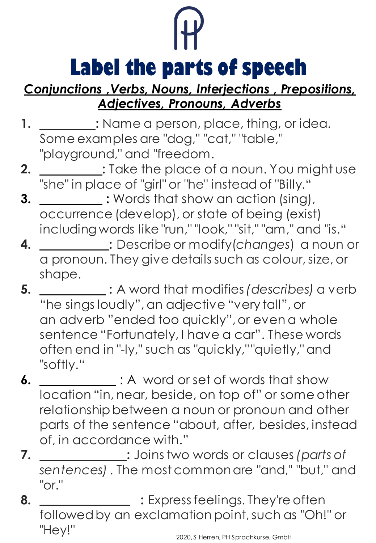

## *[Conjunctions ,Verbs,](https://www.thoughtco.com/what-is-conjunction-grammar-1689911) Nouns, [Interjections , Prepositions,](https://www.thoughtco.com/noun-in-grammar-1691442) [Adjectives, Pronouns, Adverbs](https://www.thoughtco.com/what-are-adjectives-1210775)*

- **1. :** Name a person, place, thing, or idea. Some examples are "dog," "cat," "table," "playground," and "freedom.
- **2. :** Take the place of a noun. You might use "she" in place of "girl" or "he" instead of "Billy."
- **3. : Words that show an action (sing),** occurrence (develop), or state of being (exist) including words like "run," "look," "sit," "am," and "is."
- **4. :** Describe or modify(*changes*) a noun or a pronoun. They give details such as colour, size, or shape.
- **5. :** A word that modifies *(describes)* a verb "he sings loudly", an adjective "very tall", or an adverb "ended too quickly", or even a whole sentence "Fortunately, I have a car". These words often end in "-ly," such as "quickly," "quietly," and "softly."
- **6.** : A word or set of words that show location "in, near, beside, on top of" or some other relationship between a noun or pronoun and other parts of the sentence "about, after, besides, instead of, in accordance with."
- **7. :** Joins two words or clauses *(parts of sentences)*. The most common are "and," "but," and "or."
- **8. 19. Express feelings. They're often** followed by an exclamation point, such as "Oh!" or "Hey!"